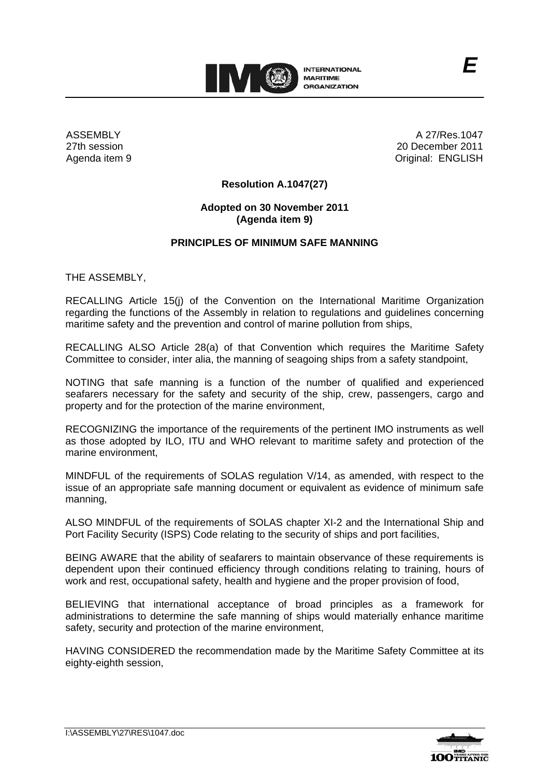

ASSEMBLY 27th session Agenda item 9

A 27/Res.1047 20 December 2011 Original: ENGLISH

*E*

## **Resolution A.1047(27)**

## **Adopted on 30 November 2011 (Agenda item 9)**

## **PRINCIPLES OF MINIMUM SAFE MANNING**

THE ASSEMBLY,

RECALLING Article 15(j) of the Convention on the International Maritime Organization regarding the functions of the Assembly in relation to regulations and guidelines concerning maritime safety and the prevention and control of marine pollution from ships,

RECALLING ALSO Article 28(a) of that Convention which requires the Maritime Safety Committee to consider, inter alia, the manning of seagoing ships from a safety standpoint,

NOTING that safe manning is a function of the number of qualified and experienced seafarers necessary for the safety and security of the ship, crew, passengers, cargo and property and for the protection of the marine environment,

RECOGNIZING the importance of the requirements of the pertinent IMO instruments as well as those adopted by ILO, ITU and WHO relevant to maritime safety and protection of the marine environment,

MINDFUL of the requirements of SOLAS regulation V/14, as amended, with respect to the issue of an appropriate safe manning document or equivalent as evidence of minimum safe manning,

ALSO MINDFUL of the requirements of SOLAS chapter XI-2 and the International Ship and Port Facility Security (ISPS) Code relating to the security of ships and port facilities,

BEING AWARE that the ability of seafarers to maintain observance of these requirements is dependent upon their continued efficiency through conditions relating to training, hours of work and rest, occupational safety, health and hygiene and the proper provision of food,

BELIEVING that international acceptance of broad principles as a framework for administrations to determine the safe manning of ships would materially enhance maritime safety, security and protection of the marine environment.

HAVING CONSIDERED the recommendation made by the Maritime Safety Committee at its eighty-eighth session,

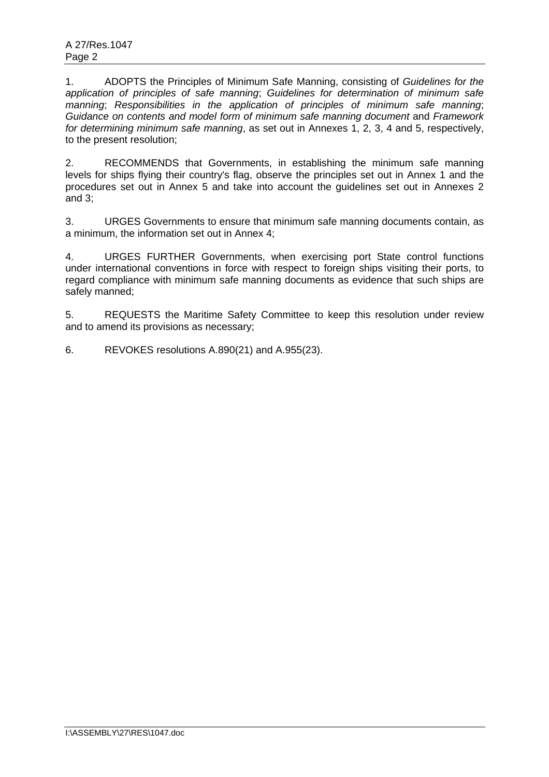1. ADOPTS the Principles of Minimum Safe Manning, consisting of *Guidelines for the application of principles of safe manning*; *Guidelines for determination of minimum safe manning*; *Responsibilities in the application of principles of minimum safe manning*; *Guidance on contents and model form of minimum safe manning document* and *Framework for determining minimum safe manning*, as set out in Annexes 1, 2, 3, 4 and 5, respectively, to the present resolution;

2. RECOMMENDS that Governments, in establishing the minimum safe manning levels for ships flying their country's flag, observe the principles set out in Annex 1 and the procedures set out in Annex 5 and take into account the guidelines set out in Annexes 2 and 3;

3. URGES Governments to ensure that minimum safe manning documents contain, as a minimum, the information set out in Annex 4;

4. URGES FURTHER Governments, when exercising port State control functions under international conventions in force with respect to foreign ships visiting their ports, to regard compliance with minimum safe manning documents as evidence that such ships are safely manned;

5. REQUESTS the Maritime Safety Committee to keep this resolution under review and to amend its provisions as necessary;

6. REVOKES resolutions A.890(21) and A.955(23).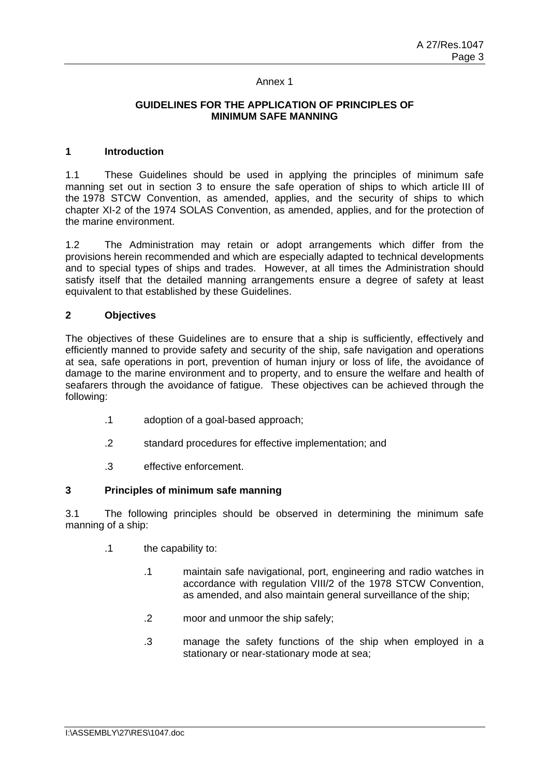## **GUIDELINES FOR THE APPLICATION OF PRINCIPLES OF MINIMUM SAFE MANNING**

## **1 Introduction**

1.1 These Guidelines should be used in applying the principles of minimum safe manning set out in section 3 to ensure the safe operation of ships to which article III of the 1978 STCW Convention, as amended, applies, and the security of ships to which chapter XI-2 of the 1974 SOLAS Convention, as amended, applies, and for the protection of the marine environment.

1.2 The Administration may retain or adopt arrangements which differ from the provisions herein recommended and which are especially adapted to technical developments and to special types of ships and trades. However, at all times the Administration should satisfy itself that the detailed manning arrangements ensure a degree of safety at least equivalent to that established by these Guidelines.

# **2 Objectives**

The objectives of these Guidelines are to ensure that a ship is sufficiently, effectively and efficiently manned to provide safety and security of the ship, safe navigation and operations at sea, safe operations in port, prevention of human injury or loss of life, the avoidance of damage to the marine environment and to property, and to ensure the welfare and health of seafarers through the avoidance of fatigue. These objectives can be achieved through the following:

- .1 adoption of a goal-based approach;
- .2 standard procedures for effective implementation; and
- .3 effective enforcement.

# **3 Principles of minimum safe manning**

3.1 The following principles should be observed in determining the minimum safe manning of a ship:

- .1 the capability to:
	- .1 maintain safe navigational, port, engineering and radio watches in accordance with regulation VIII/2 of the 1978 STCW Convention, as amended, and also maintain general surveillance of the ship;
	- .2 moor and unmoor the ship safely;
	- .3 manage the safety functions of the ship when employed in a stationary or near-stationary mode at sea;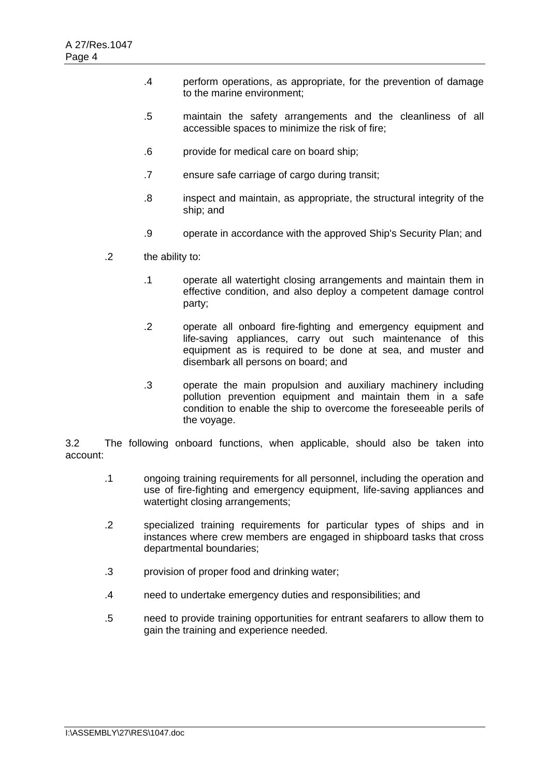- .4 perform operations, as appropriate, for the prevention of damage to the marine environment;
- .5 maintain the safety arrangements and the cleanliness of all accessible spaces to minimize the risk of fire;
- .6 provide for medical care on board ship;
- .7 ensure safe carriage of cargo during transit;
- .8 inspect and maintain, as appropriate, the structural integrity of the ship; and
- .9 operate in accordance with the approved Ship's Security Plan; and
- .2 the ability to:
	- .1 operate all watertight closing arrangements and maintain them in effective condition, and also deploy a competent damage control party;
	- .2 operate all onboard fire-fighting and emergency equipment and life-saving appliances, carry out such maintenance of this equipment as is required to be done at sea, and muster and disembark all persons on board; and
	- .3 operate the main propulsion and auxiliary machinery including pollution prevention equipment and maintain them in a safe condition to enable the ship to overcome the foreseeable perils of the voyage.

3.2 The following onboard functions, when applicable, should also be taken into account:

- .1 ongoing training requirements for all personnel, including the operation and use of fire-fighting and emergency equipment, life-saving appliances and watertight closing arrangements;
- .2 specialized training requirements for particular types of ships and in instances where crew members are engaged in shipboard tasks that cross departmental boundaries;
- .3 provision of proper food and drinking water;
- .4 need to undertake emergency duties and responsibilities; and
- .5 need to provide training opportunities for entrant seafarers to allow them to gain the training and experience needed.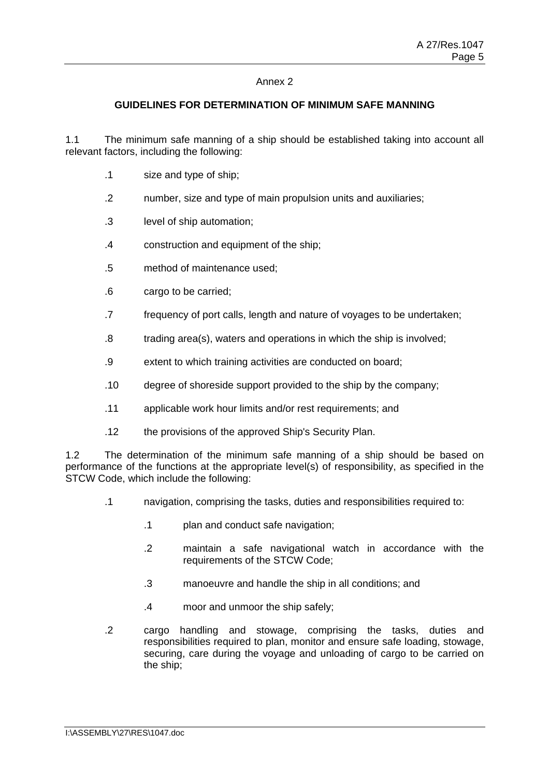## **GUIDELINES FOR DETERMINATION OF MINIMUM SAFE MANNING**

1.1 The minimum safe manning of a ship should be established taking into account all relevant factors, including the following:

- .1 size and type of ship;
- .2 number, size and type of main propulsion units and auxiliaries;
- .3 level of ship automation;
- .4 construction and equipment of the ship;
- .5 method of maintenance used;
- .6 cargo to be carried;
- .7 frequency of port calls, length and nature of voyages to be undertaken;
- .8 trading area(s), waters and operations in which the ship is involved;
- .9 extent to which training activities are conducted on board;
- .10 degree of shoreside support provided to the ship by the company;
- .11 applicable work hour limits and/or rest requirements; and
- .12 the provisions of the approved Ship's Security Plan.

1.2 The determination of the minimum safe manning of a ship should be based on performance of the functions at the appropriate level(s) of responsibility, as specified in the STCW Code, which include the following:

- .1 navigation, comprising the tasks, duties and responsibilities required to:
	- .1 plan and conduct safe navigation;
	- .2 maintain a safe navigational watch in accordance with the requirements of the STCW Code;
	- .3 manoeuvre and handle the ship in all conditions; and
	- .4 moor and unmoor the ship safely;
- .2 cargo handling and stowage, comprising the tasks, duties and responsibilities required to plan, monitor and ensure safe loading, stowage, securing, care during the voyage and unloading of cargo to be carried on the ship;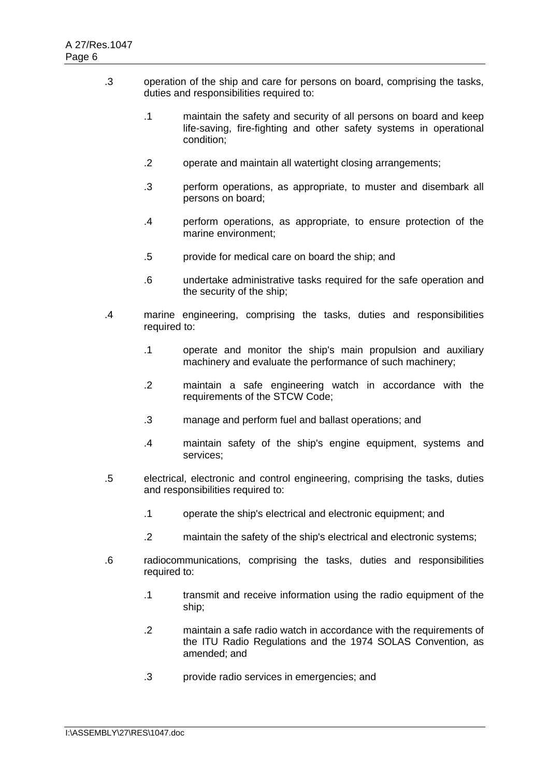- .3 operation of the ship and care for persons on board, comprising the tasks, duties and responsibilities required to:
	- .1 maintain the safety and security of all persons on board and keep life-saving, fire-fighting and other safety systems in operational condition;
	- .2 operate and maintain all watertight closing arrangements;
	- .3 perform operations, as appropriate, to muster and disembark all persons on board;
	- .4 perform operations, as appropriate, to ensure protection of the marine environment;
	- .5 provide for medical care on board the ship; and
	- .6 undertake administrative tasks required for the safe operation and the security of the ship;
- .4 marine engineering, comprising the tasks, duties and responsibilities required to:
	- .1 operate and monitor the ship's main propulsion and auxiliary machinery and evaluate the performance of such machinery;
	- .2 maintain a safe engineering watch in accordance with the requirements of the STCW Code;
	- .3 manage and perform fuel and ballast operations; and
	- .4 maintain safety of the ship's engine equipment, systems and services;
- .5 electrical, electronic and control engineering, comprising the tasks, duties and responsibilities required to:
	- .1 operate the ship's electrical and electronic equipment; and
	- .2 maintain the safety of the ship's electrical and electronic systems;
- .6 radiocommunications, comprising the tasks, duties and responsibilities required to:
	- .1 transmit and receive information using the radio equipment of the ship;
	- .2 maintain a safe radio watch in accordance with the requirements of the ITU Radio Regulations and the 1974 SOLAS Convention, as amended; and
	- .3 provide radio services in emergencies; and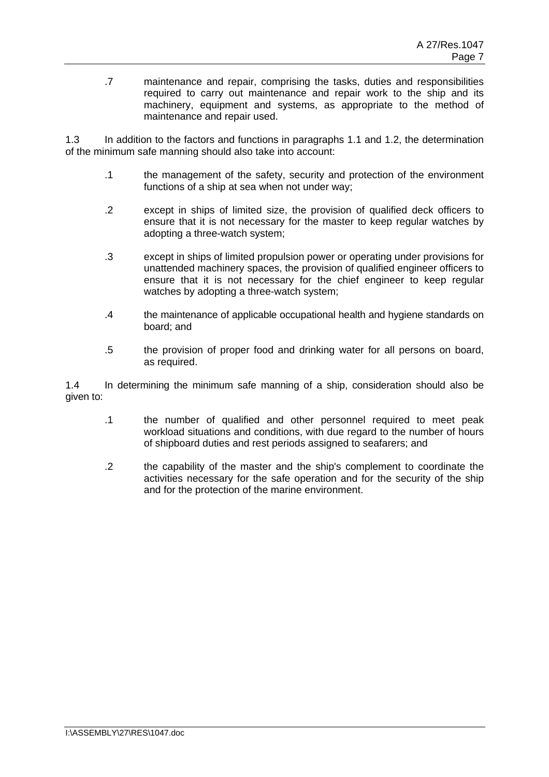.7 maintenance and repair, comprising the tasks, duties and responsibilities required to carry out maintenance and repair work to the ship and its machinery, equipment and systems, as appropriate to the method of maintenance and repair used.

1.3 In addition to the factors and functions in paragraphs 1.1 and 1.2, the determination of the minimum safe manning should also take into account:

- .1 the management of the safety, security and protection of the environment functions of a ship at sea when not under way;
- .2 except in ships of limited size, the provision of qualified deck officers to ensure that it is not necessary for the master to keep regular watches by adopting a three-watch system;
- .3 except in ships of limited propulsion power or operating under provisions for unattended machinery spaces, the provision of qualified engineer officers to ensure that it is not necessary for the chief engineer to keep regular watches by adopting a three-watch system;
- .4 the maintenance of applicable occupational health and hygiene standards on board; and
- .5 the provision of proper food and drinking water for all persons on board, as required.

1.4 In determining the minimum safe manning of a ship, consideration should also be given to:

- .1 the number of qualified and other personnel required to meet peak workload situations and conditions, with due regard to the number of hours of shipboard duties and rest periods assigned to seafarers; and
- .2 the capability of the master and the ship's complement to coordinate the activities necessary for the safe operation and for the security of the ship and for the protection of the marine environment.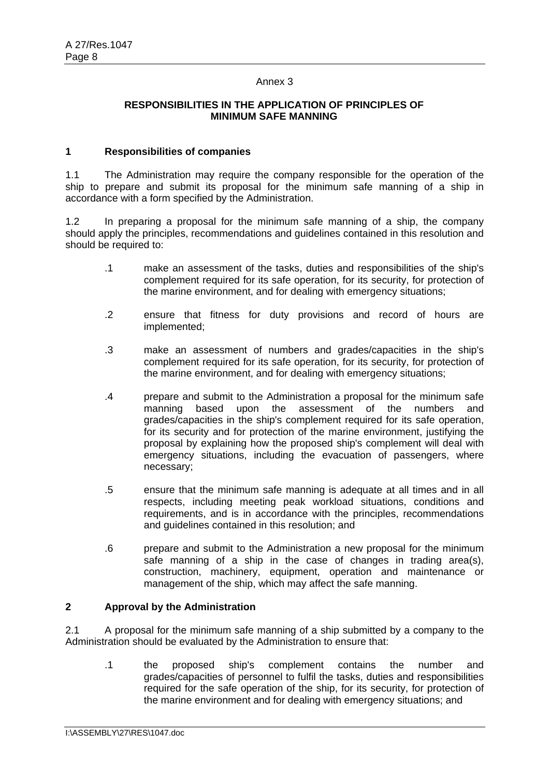## **RESPONSIBILITIES IN THE APPLICATION OF PRINCIPLES OF MINIMUM SAFE MANNING**

#### **1 Responsibilities of companies**

1.1 The Administration may require the company responsible for the operation of the ship to prepare and submit its proposal for the minimum safe manning of a ship in accordance with a form specified by the Administration.

1.2 In preparing a proposal for the minimum safe manning of a ship, the company should apply the principles, recommendations and guidelines contained in this resolution and should be required to:

- .1 make an assessment of the tasks, duties and responsibilities of the ship's complement required for its safe operation, for its security, for protection of the marine environment, and for dealing with emergency situations;
- .2 ensure that fitness for duty provisions and record of hours are implemented;
- .3 make an assessment of numbers and grades/capacities in the ship's complement required for its safe operation, for its security, for protection of the marine environment, and for dealing with emergency situations;
- .4 prepare and submit to the Administration a proposal for the minimum safe manning based upon the assessment of the numbers and grades/capacities in the ship's complement required for its safe operation, for its security and for protection of the marine environment, justifying the proposal by explaining how the proposed ship's complement will deal with emergency situations, including the evacuation of passengers, where necessary;
- .5 ensure that the minimum safe manning is adequate at all times and in all respects, including meeting peak workload situations, conditions and requirements, and is in accordance with the principles, recommendations and guidelines contained in this resolution; and
- .6 prepare and submit to the Administration a new proposal for the minimum safe manning of a ship in the case of changes in trading area(s), construction, machinery, equipment, operation and maintenance or management of the ship, which may affect the safe manning.

#### **2 Approval by the Administration**

2.1 A proposal for the minimum safe manning of a ship submitted by a company to the Administration should be evaluated by the Administration to ensure that:

.1 the proposed ship's complement contains the number and grades/capacities of personnel to fulfil the tasks, duties and responsibilities required for the safe operation of the ship, for its security, for protection of the marine environment and for dealing with emergency situations; and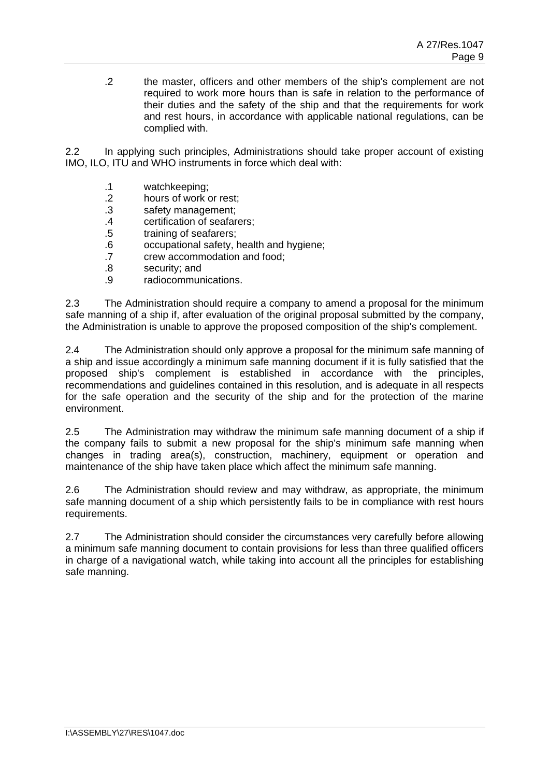.2 the master, officers and other members of the ship's complement are not required to work more hours than is safe in relation to the performance of their duties and the safety of the ship and that the requirements for work and rest hours, in accordance with applicable national regulations, can be complied with.

2.2 In applying such principles, Administrations should take proper account of existing IMO, ILO, ITU and WHO instruments in force which deal with:

- .1 watchkeeping;
- .2 hours of work or rest;
- .3 safety management;
- .4 certification of seafarers;
- .5 training of seafarers;
- .6 occupational safety, health and hygiene;
- .7 crew accommodation and food;
- .8 security; and
- .9 radiocommunications.

2.3 The Administration should require a company to amend a proposal for the minimum safe manning of a ship if, after evaluation of the original proposal submitted by the company, the Administration is unable to approve the proposed composition of the ship's complement.

2.4 The Administration should only approve a proposal for the minimum safe manning of a ship and issue accordingly a minimum safe manning document if it is fully satisfied that the proposed ship's complement is established in accordance with the principles, recommendations and guidelines contained in this resolution, and is adequate in all respects for the safe operation and the security of the ship and for the protection of the marine environment.

2.5 The Administration may withdraw the minimum safe manning document of a ship if the company fails to submit a new proposal for the ship's minimum safe manning when changes in trading area(s), construction, machinery, equipment or operation and maintenance of the ship have taken place which affect the minimum safe manning.

2.6 The Administration should review and may withdraw, as appropriate, the minimum safe manning document of a ship which persistently fails to be in compliance with rest hours requirements.

2.7 The Administration should consider the circumstances very carefully before allowing a minimum safe manning document to contain provisions for less than three qualified officers in charge of a navigational watch, while taking into account all the principles for establishing safe manning.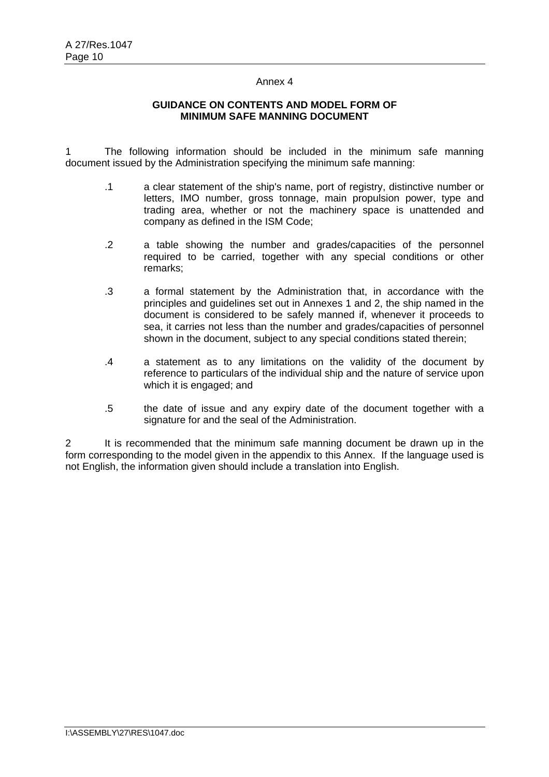## **GUIDANCE ON CONTENTS AND MODEL FORM OF MINIMUM SAFE MANNING DOCUMENT**

1 The following information should be included in the minimum safe manning document issued by the Administration specifying the minimum safe manning:

- .1 a clear statement of the ship's name, port of registry, distinctive number or letters, IMO number, gross tonnage, main propulsion power, type and trading area, whether or not the machinery space is unattended and company as defined in the ISM Code;
- .2 a table showing the number and grades/capacities of the personnel required to be carried, together with any special conditions or other remarks;
- .3 a formal statement by the Administration that, in accordance with the principles and guidelines set out in Annexes 1 and 2, the ship named in the document is considered to be safely manned if, whenever it proceeds to sea, it carries not less than the number and grades/capacities of personnel shown in the document, subject to any special conditions stated therein;
- .4 a statement as to any limitations on the validity of the document by reference to particulars of the individual ship and the nature of service upon which it is engaged; and
- .5 the date of issue and any expiry date of the document together with a signature for and the seal of the Administration.

2 It is recommended that the minimum safe manning document be drawn up in the form corresponding to the model given in the appendix to this Annex. If the language used is not English, the information given should include a translation into English.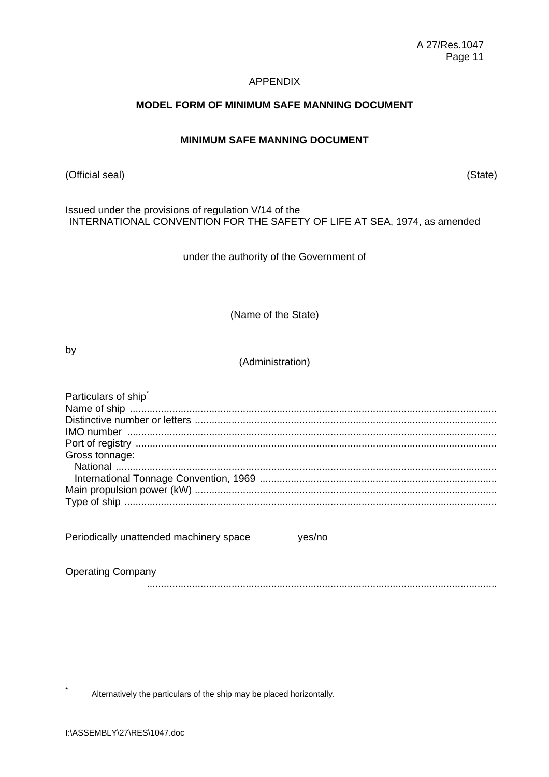## APPENDIX

## **MODEL FORM OF MINIMUM SAFE MANNING DOCUMENT**

# **MINIMUM SAFE MANNING DOCUMENT**

(Official seal) (State)

Issued under the provisions of regulation V/14 of the INTERNATIONAL CONVENTION FOR THE SAFETY OF LIFE AT SEA, 1974, as amended

under the authority of the Government of

(Name of the State)

by

(Administration)

| Particulars of ship                               |
|---------------------------------------------------|
|                                                   |
|                                                   |
|                                                   |
|                                                   |
| Gross tonnage:                                    |
|                                                   |
|                                                   |
|                                                   |
|                                                   |
|                                                   |
|                                                   |
| Periodically unattended machinery space<br>ves/no |
|                                                   |
|                                                   |
| <b>Operating Company</b>                          |

............................................................................................................................

Alternatively the particulars of the ship may be placed horizontally.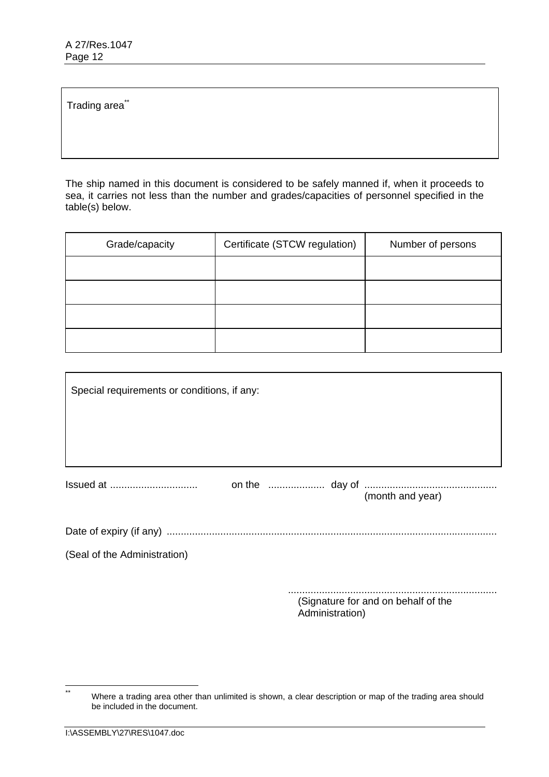Trading area<sup>\*\*</sup>

The ship named in this document is considered to be safely manned if, when it proceeds to sea, it carries not less than the number and grades/capacities of personnel specified in the table(s) below.

| Grade/capacity | Certificate (STCW regulation) | Number of persons |
|----------------|-------------------------------|-------------------|
|                |                               |                   |
|                |                               |                   |
|                |                               |                   |
|                |                               |                   |

| Special requirements or conditions, if any: |                                                        |  |  |                  |  |
|---------------------------------------------|--------------------------------------------------------|--|--|------------------|--|
|                                             |                                                        |  |  |                  |  |
|                                             |                                                        |  |  | (month and year) |  |
|                                             |                                                        |  |  |                  |  |
| (Seal of the Administration)                |                                                        |  |  |                  |  |
|                                             | (Signature for and on behalf of the<br>Administration) |  |  |                  |  |

 $\overline{**}$ Where a trading area other than unlimited is shown, a clear description or map of the trading area should be included in the document.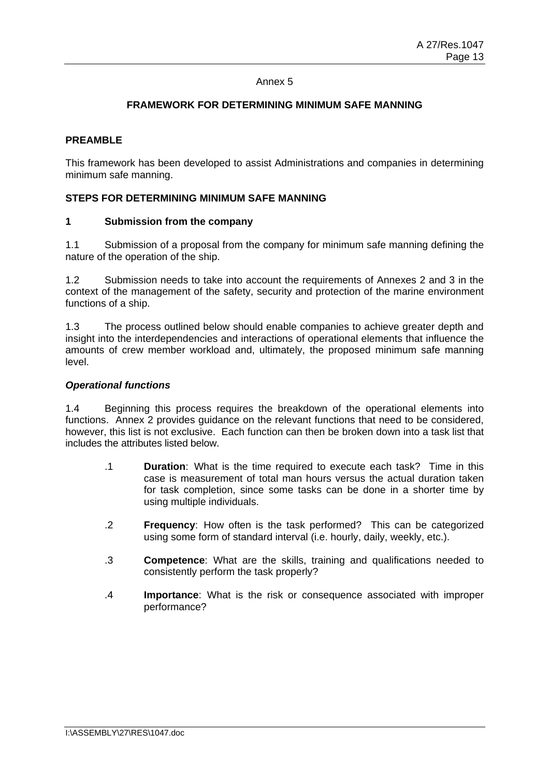# **FRAMEWORK FOR DETERMINING MINIMUM SAFE MANNING**

## **PREAMBLE**

This framework has been developed to assist Administrations and companies in determining minimum safe manning.

# **STEPS FOR DETERMINING MINIMUM SAFE MANNING**

#### **1 Submission from the company**

1.1 Submission of a proposal from the company for minimum safe manning defining the nature of the operation of the ship.

1.2 Submission needs to take into account the requirements of Annexes 2 and 3 in the context of the management of the safety, security and protection of the marine environment functions of a ship.

1.3 The process outlined below should enable companies to achieve greater depth and insight into the interdependencies and interactions of operational elements that influence the amounts of crew member workload and, ultimately, the proposed minimum safe manning level.

#### *Operational functions*

1.4 Beginning this process requires the breakdown of the operational elements into functions. Annex 2 provides guidance on the relevant functions that need to be considered, however, this list is not exclusive. Each function can then be broken down into a task list that includes the attributes listed below.

- .1 **Duration**: What is the time required to execute each task? Time in this case is measurement of total man hours versus the actual duration taken for task completion, since some tasks can be done in a shorter time by using multiple individuals.
- .2 **Frequency**: How often is the task performed? This can be categorized using some form of standard interval (i.e. hourly, daily, weekly, etc.).
- .3 **Competence**: What are the skills, training and qualifications needed to consistently perform the task properly?
- .4 **Importance**: What is the risk or consequence associated with improper performance?